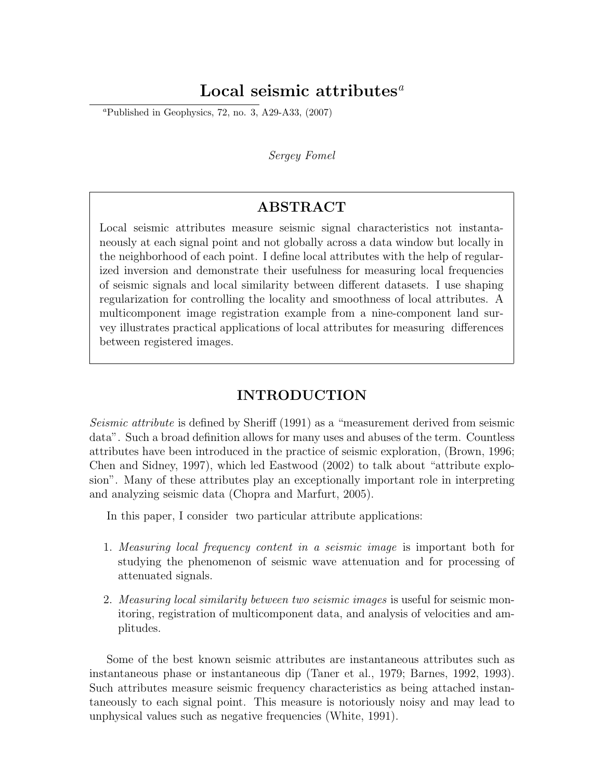# Local seismic attributes<sup> $a$ </sup>

<sup>*a*</sup>Published in Geophysics, 72, no. 3, A29-A33,  $(2007)$ 

#### Sergey Fomel

## ABSTRACT

Local seismic attributes measure seismic signal characteristics not instantaneously at each signal point and not globally across a data window but locally in the neighborhood of each point. I define local attributes with the help of regularized inversion and demonstrate their usefulness for measuring local frequencies of seismic signals and local similarity between different datasets. I use shaping regularization for controlling the locality and smoothness of local attributes. A multicomponent image registration example from a nine-component land survey illustrates practical applications of local attributes for measuring differences between registered images.

## INTRODUCTION

Seismic attribute is defined by Sheriff (1991) as a "measurement derived from seismic data". Such a broad definition allows for many uses and abuses of the term. Countless attributes have been introduced in the practice of seismic exploration, (Brown, 1996; Chen and Sidney, 1997), which led Eastwood (2002) to talk about "attribute explosion". Many of these attributes play an exceptionally important role in interpreting and analyzing seismic data (Chopra and Marfurt, 2005).

In this paper, I consider two particular attribute applications:

- 1. Measuring local frequency content in a seismic image is important both for studying the phenomenon of seismic wave attenuation and for processing of attenuated signals.
- 2. Measuring local similarity between two seismic images is useful for seismic monitoring, registration of multicomponent data, and analysis of velocities and amplitudes.

Some of the best known seismic attributes are instantaneous attributes such as instantaneous phase or instantaneous dip (Taner et al., 1979; Barnes, 1992, 1993). Such attributes measure seismic frequency characteristics as being attached instantaneously to each signal point. This measure is notoriously noisy and may lead to unphysical values such as negative frequencies (White, 1991).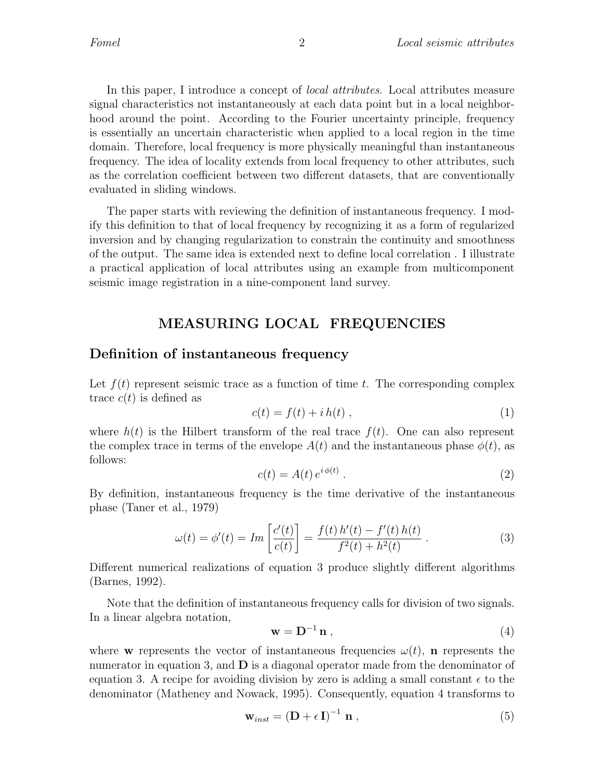In this paper, I introduce a concept of local attributes. Local attributes measure signal characteristics not instantaneously at each data point but in a local neighborhood around the point. According to the Fourier uncertainty principle, frequency is essentially an uncertain characteristic when applied to a local region in the time domain. Therefore, local frequency is more physically meaningful than instantaneous frequency. The idea of locality extends from local frequency to other attributes, such as the correlation coefficient between two different datasets, that are conventionally evaluated in sliding windows.

The paper starts with reviewing the definition of instantaneous frequency. I modify this definition to that of local frequency by recognizing it as a form of regularized inversion and by changing regularization to constrain the continuity and smoothness of the output. The same idea is extended next to define local correlation . I illustrate a practical application of local attributes using an example from multicomponent seismic image registration in a nine-component land survey.

## MEASURING LOCAL FREQUENCIES

### Definition of instantaneous frequency

Let  $f(t)$  represent seismic trace as a function of time t. The corresponding complex trace  $c(t)$  is defined as

$$
c(t) = f(t) + i h(t) , \qquad (1)
$$

where  $h(t)$  is the Hilbert transform of the real trace  $f(t)$ . One can also represent the complex trace in terms of the envelope  $A(t)$  and the instantaneous phase  $\phi(t)$ , as follows:

$$
c(t) = A(t) e^{i\phi(t)}.
$$
 (2)

By definition, instantaneous frequency is the time derivative of the instantaneous phase (Taner et al., 1979)

$$
\omega(t) = \phi'(t) = Im\left[\frac{c'(t)}{c(t)}\right] = \frac{f(t) h'(t) - f'(t) h(t)}{f^2(t) + h^2(t)}.
$$
\n(3)

Different numerical realizations of equation 3 produce slightly different algorithms (Barnes, 1992).

Note that the definition of instantaneous frequency calls for division of two signals. In a linear algebra notation,

$$
\mathbf{w} = \mathbf{D}^{-1} \mathbf{n} \tag{4}
$$

where w represents the vector of instantaneous frequencies  $\omega(t)$ , n represents the numerator in equation 3, and  $\bf{D}$  is a diagonal operator made from the denominator of equation 3. A recipe for avoiding division by zero is adding a small constant  $\epsilon$  to the denominator (Matheney and Nowack, 1995). Consequently, equation 4 transforms to

$$
\mathbf{w}_{inst} = \left(\mathbf{D} + \epsilon \mathbf{I}\right)^{-1} \mathbf{n} \tag{5}
$$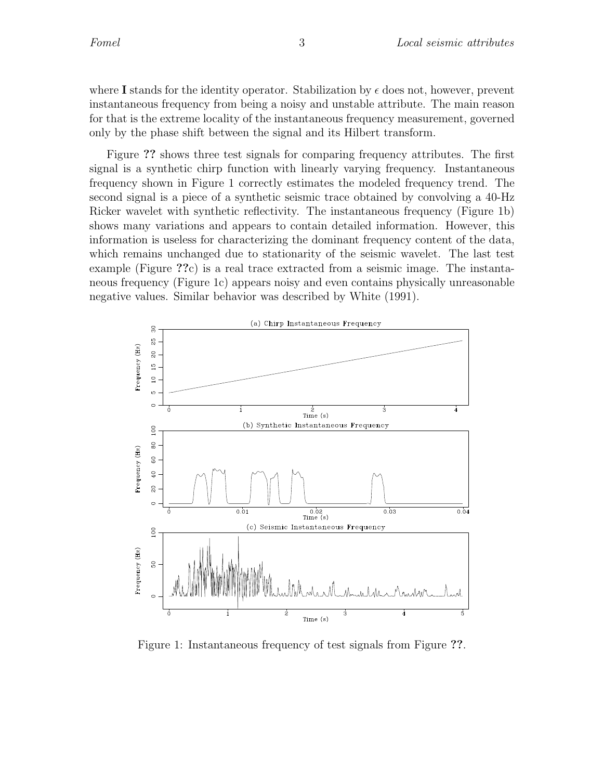where I stands for the identity operator. Stabilization by  $\epsilon$  does not, however, prevent instantaneous frequency from being a noisy and unstable attribute. The main reason for that is the extreme locality of the instantaneous frequency measurement, governed only by the phase shift between the signal and its Hilbert transform.

Figure ?? shows three test signals for comparing frequency attributes. The first signal is a synthetic chirp function with linearly varying frequency. Instantaneous frequency shown in Figure 1 correctly estimates the modeled frequency trend. The second signal is a piece of a synthetic seismic trace obtained by convolving a 40-Hz Ricker wavelet with synthetic reflectivity. The instantaneous frequency (Figure 1b) shows many variations and appears to contain detailed information. However, this information is useless for characterizing the dominant frequency content of the data, which remains unchanged due to stationarity of the seismic wavelet. The last test example (Figure ??c) is a real trace extracted from a seismic image. The instantaneous frequency (Figure 1c) appears noisy and even contains physically unreasonable negative values. Similar behavior was described by White (1991).



Figure 1: Instantaneous frequency of test signals from Figure ??.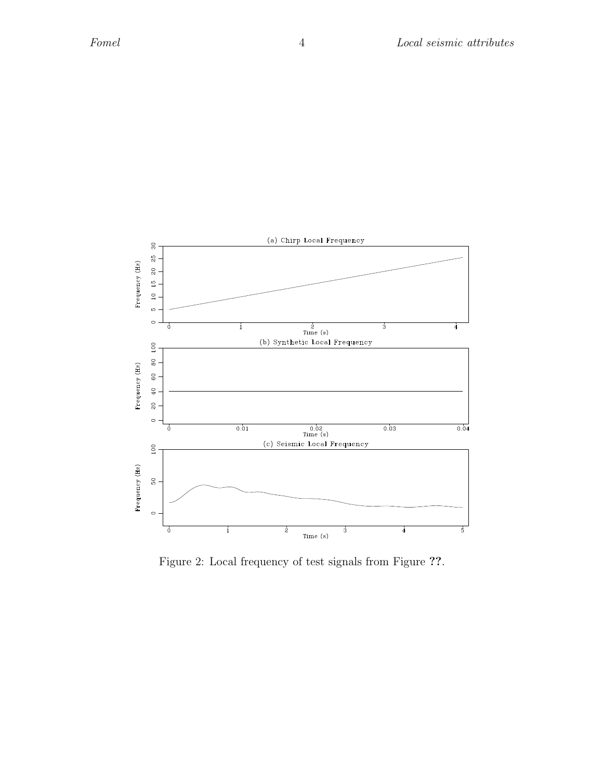

Figure 2: Local frequency of test signals from Figure ??.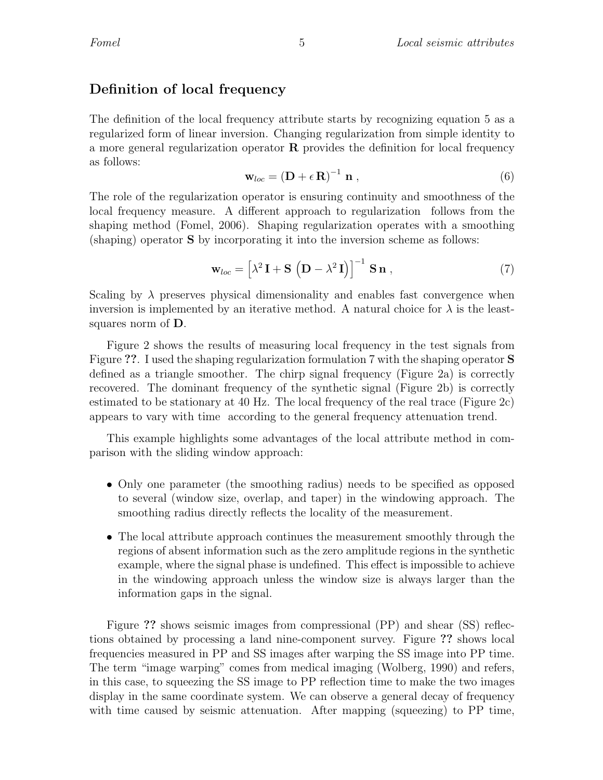## Definition of local frequency

The definition of the local frequency attribute starts by recognizing equation 5 as a regularized form of linear inversion. Changing regularization from simple identity to a more general regularization operator  $\bf{R}$  provides the definition for local frequency as follows:

$$
\mathbf{w}_{loc} = \left(\mathbf{D} + \epsilon \,\mathbf{R}\right)^{-1} \,\mathbf{n} \,, \tag{6}
$$

The role of the regularization operator is ensuring continuity and smoothness of the local frequency measure. A different approach to regularization follows from the shaping method (Fomel, 2006). Shaping regularization operates with a smoothing (shaping) operator S by incorporating it into the inversion scheme as follows:

$$
\mathbf{w}_{loc} = \left[\lambda^2 \mathbf{I} + \mathbf{S} \left(\mathbf{D} - \lambda^2 \mathbf{I}\right)\right]^{-1} \mathbf{S} \mathbf{n} , \qquad (7)
$$

Scaling by  $\lambda$  preserves physical dimensionality and enables fast convergence when inversion is implemented by an iterative method. A natural choice for  $\lambda$  is the leastsquares norm of D.

Figure 2 shows the results of measuring local frequency in the test signals from Figure ??. I used the shaping regularization formulation 7 with the shaping operator S defined as a triangle smoother. The chirp signal frequency (Figure 2a) is correctly recovered. The dominant frequency of the synthetic signal (Figure 2b) is correctly estimated to be stationary at 40 Hz. The local frequency of the real trace (Figure 2c) appears to vary with time according to the general frequency attenuation trend.

This example highlights some advantages of the local attribute method in comparison with the sliding window approach:

- Only one parameter (the smoothing radius) needs to be specified as opposed to several (window size, overlap, and taper) in the windowing approach. The smoothing radius directly reflects the locality of the measurement.
- The local attribute approach continues the measurement smoothly through the regions of absent information such as the zero amplitude regions in the synthetic example, where the signal phase is undefined. This effect is impossible to achieve in the windowing approach unless the window size is always larger than the information gaps in the signal.

Figure ?? shows seismic images from compressional (PP) and shear (SS) reflections obtained by processing a land nine-component survey. Figure ?? shows local frequencies measured in PP and SS images after warping the SS image into PP time. The term "image warping" comes from medical imaging (Wolberg, 1990) and refers, in this case, to squeezing the SS image to PP reflection time to make the two images display in the same coordinate system. We can observe a general decay of frequency with time caused by seismic attenuation. After mapping (squeezing) to PP time,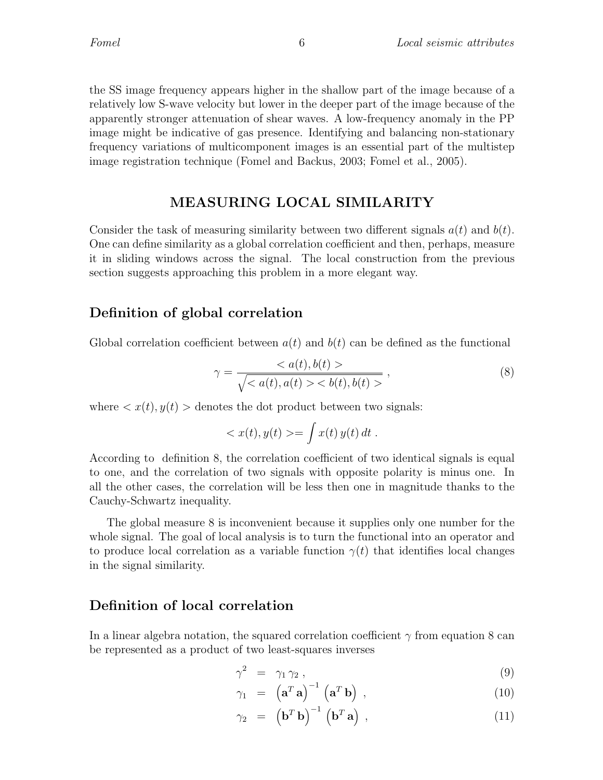the SS image frequency appears higher in the shallow part of the image because of a relatively low S-wave velocity but lower in the deeper part of the image because of the apparently stronger attenuation of shear waves. A low-frequency anomaly in the PP image might be indicative of gas presence. Identifying and balancing non-stationary frequency variations of multicomponent images is an essential part of the multistep image registration technique (Fomel and Backus, 2003; Fomel et al., 2005).

## MEASURING LOCAL SIMILARITY

Consider the task of measuring similarity between two different signals  $a(t)$  and  $b(t)$ . One can define similarity as a global correlation coefficient and then, perhaps, measure it in sliding windows across the signal. The local construction from the previous section suggests approaching this problem in a more elegant way.

### Definition of global correlation

Global correlation coefficient between  $a(t)$  and  $b(t)$  can be defined as the functional

$$
\gamma = \frac{\langle a(t), b(t) \rangle}{\sqrt{\langle a(t), a(t) \rangle \langle b(t), b(t) \rangle}},
$$
\n
$$
(8)
$$

where  $\langle x(t), y(t) \rangle$  denotes the dot product between two signals:

$$
\langle x(t), y(t) \rangle = \int x(t) y(t) dt.
$$

According to definition 8, the correlation coefficient of two identical signals is equal to one, and the correlation of two signals with opposite polarity is minus one. In all the other cases, the correlation will be less then one in magnitude thanks to the Cauchy-Schwartz inequality.

The global measure 8 is inconvenient because it supplies only one number for the whole signal. The goal of local analysis is to turn the functional into an operator and to produce local correlation as a variable function  $\gamma(t)$  that identifies local changes in the signal similarity.

## Definition of local correlation

In a linear algebra notation, the squared correlation coefficient  $\gamma$  from equation 8 can be represented as a product of two least-squares inverses

$$
\gamma^2 = \gamma_1 \gamma_2 , \qquad (9)
$$

$$
\gamma_1 = (\mathbf{a}^T \mathbf{a})^{-1} (\mathbf{a}^T \mathbf{b}), \qquad (10)
$$

$$
\gamma_2 = \left(\mathbf{b}^T \mathbf{b}\right)^{-1} \left(\mathbf{b}^T \mathbf{a}\right) , \qquad (11)
$$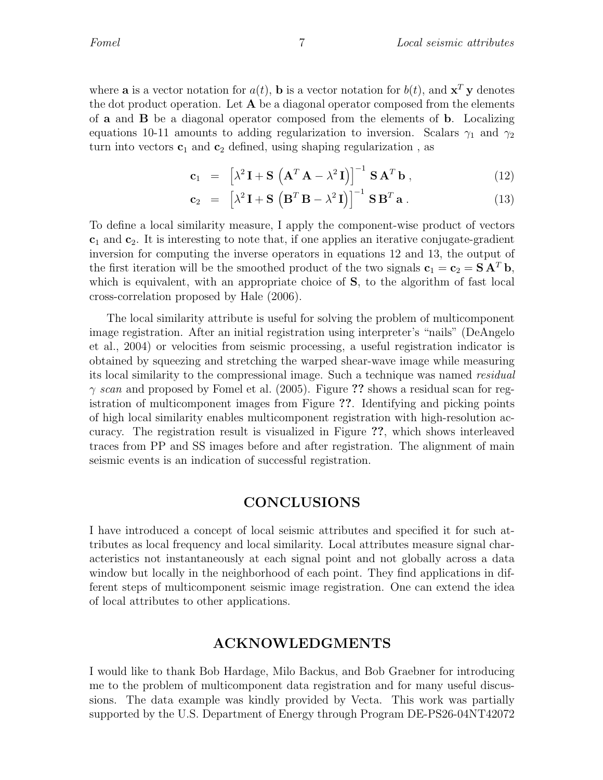where **a** is a vector notation for  $a(t)$ , **b** is a vector notation for  $b(t)$ , and  $\mathbf{x}^T \mathbf{y}$  denotes the dot product operation. Let  $A$  be a diagonal operator composed from the elements of a and B be a diagonal operator composed from the elements of b. Localizing equations 10-11 amounts to adding regularization to inversion. Scalars  $\gamma_1$  and  $\gamma_2$ turn into vectors  $c_1$  and  $c_2$  defined, using shaping regularization, as

$$
\mathbf{c}_1 = \left[ \lambda^2 \, \mathbf{I} + \mathbf{S} \, \left( \mathbf{A}^T \, \mathbf{A} - \lambda^2 \, \mathbf{I} \right) \right]^{-1} \, \mathbf{S} \, \mathbf{A}^T \, \mathbf{b} \;, \tag{12}
$$

$$
\mathbf{c}_2 = \left[ \lambda^2 \, \mathbf{I} + \mathbf{S} \left( \mathbf{B}^T \, \mathbf{B} - \lambda^2 \, \mathbf{I} \right) \right]^{-1} \mathbf{S} \, \mathbf{B}^T \, \mathbf{a} \,. \tag{13}
$$

To define a local similarity measure, I apply the component-wise product of vectors  $c_1$  and  $c_2$ . It is interesting to note that, if one applies an iterative conjugate-gradient inversion for computing the inverse operators in equations 12 and 13, the output of the first iteration will be the smoothed product of the two signals  $c_1 = c_2 = SA<sup>T</sup> b$ , which is equivalent, with an appropriate choice of S, to the algorithm of fast local cross-correlation proposed by Hale (2006).

The local similarity attribute is useful for solving the problem of multicomponent image registration. After an initial registration using interpreter's "nails" (DeAngelo et al., 2004) or velocities from seismic processing, a useful registration indicator is obtained by squeezing and stretching the warped shear-wave image while measuring its local similarity to the compressional image. Such a technique was named residual  $\gamma$  scan and proposed by Fomel et al. (2005). Figure ?? shows a residual scan for registration of multicomponent images from Figure ??. Identifying and picking points of high local similarity enables multicomponent registration with high-resolution accuracy. The registration result is visualized in Figure ??, which shows interleaved traces from PP and SS images before and after registration. The alignment of main seismic events is an indication of successful registration.

#### CONCLUSIONS

I have introduced a concept of local seismic attributes and specified it for such attributes as local frequency and local similarity. Local attributes measure signal characteristics not instantaneously at each signal point and not globally across a data window but locally in the neighborhood of each point. They find applications in different steps of multicomponent seismic image registration. One can extend the idea of local attributes to other applications.

#### ACKNOWLEDGMENTS

I would like to thank Bob Hardage, Milo Backus, and Bob Graebner for introducing me to the problem of multicomponent data registration and for many useful discussions. The data example was kindly provided by Vecta. This work was partially supported by the U.S. Department of Energy through Program DE-PS26-04NT42072